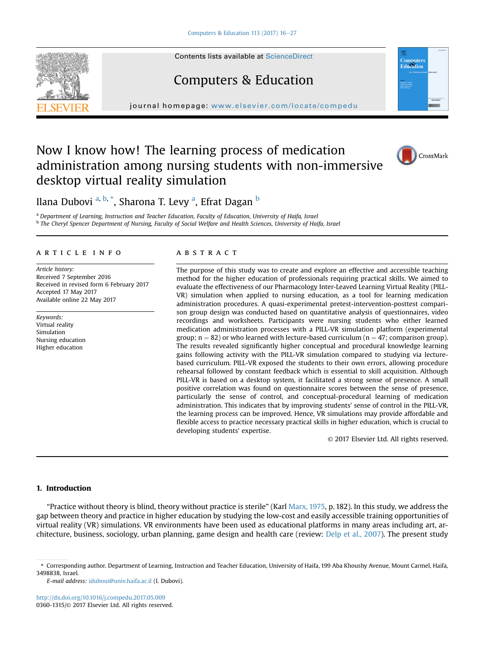Contents lists available at [ScienceDirect](www.sciencedirect.com/science/journal/03601315)



# Computers & Education

journal homepage: <www.elsevier.com/locate/compedu>



**Computers**<br>Education

# Now I know how! The learning process of medication administration among nursing students with non-immersive desktop virtual reality simulation



Ilana Dubovi <sup>a, b,</sup> \*, Sharona T. Levy <sup>a</sup>, Efrat Dagan <sup>b</sup>

<sup>a</sup> Department of Learning, Instruction and Teacher Education, Faculty of Education, University of Haifa, Israel <sup>b</sup> The Cheryl Spencer Department of Nursing, Faculty of Social Welfare and Health Sciences, University of Haifa, Israel

#### article info

Article history: Received 7 September 2016 Received in revised form 6 February 2017 Accepted 17 May 2017 Available online 22 May 2017

Keywords: Virtual reality Simulation Nursing education Higher education

# ABSTRACT

The purpose of this study was to create and explore an effective and accessible teaching method for the higher education of professionals requiring practical skills. We aimed to evaluate the effectiveness of our Pharmacology Inter-Leaved Learning Virtual Reality (PILL-VR) simulation when applied to nursing education, as a tool for learning medication administration procedures. A quasi-experimental pretest-intervention-posttest comparison group design was conducted based on quantitative analysis of questionnaires, video recordings and worksheets. Participants were nursing students who either learned medication administration processes with a PILL-VR simulation platform (experimental group;  $n = 82$ ) or who learned with lecture-based curriculum ( $n = 47$ ; comparison group). The results revealed significantly higher conceptual and procedural knowledge learning gains following activity with the PILL-VR simulation compared to studying via lecturebased curriculum. PILL-VR exposed the students to their own errors, allowing procedure rehearsal followed by constant feedback which is essential to skill acquisition. Although PILL-VR is based on a desktop system, it facilitated a strong sense of presence. A small positive correlation was found on questionnaire scores between the sense of presence, particularly the sense of control, and conceptual-procedural learning of medication administration. This indicates that by improving students' sense of control in the PILL-VR, the learning process can be improved. Hence, VR simulations may provide affordable and flexible access to practice necessary practical skills in higher education, which is crucial to developing students' expertise.

© 2017 Elsevier Ltd. All rights reserved.

# 1. Introduction

"Practice without theory is blind, theory without practice is sterile" (Karl [Marx, 1975](#page-11-0), p. 182). In this study, we address the gap between theory and practice in higher education by studying the low-cost and easily accessible training opportunities of virtual reality (VR) simulations. VR environments have been used as educational platforms in many areas including art, architecture, business, sociology, urban planning, game design and health care (review: [Delp et al., 2007](#page-10-0)). The present study

<http://dx.doi.org/10.1016/j.compedu.2017.05.009> 0360-1315/© 2017 Elsevier Ltd. All rights reserved.

<sup>\*</sup> Corresponding author. Department of Learning, Instruction and Teacher Education, University of Haifa, 199 Aba Khoushy Avenue, Mount Carmel, Haifa, 3498838, Israel.

E-mail address: [iduboui@univ.haifa.ac.il](mailto:iduboui@univ.haifa.ac.il) (I. Dubovi).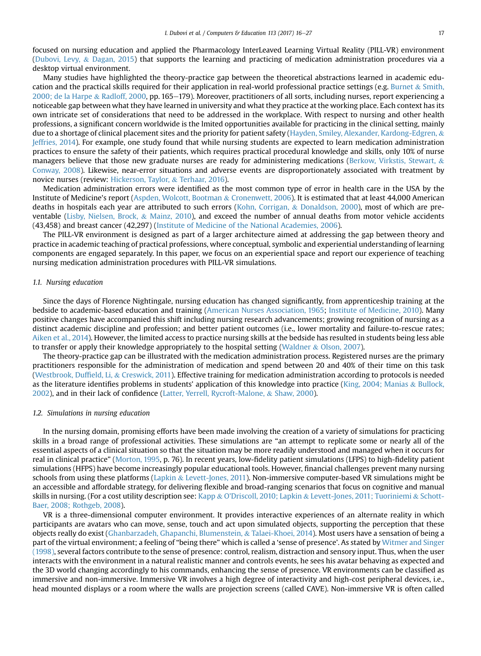focused on nursing education and applied the Pharmacology InterLeaved Learning Virtual Reality (PILL-VR) environment ([Dubovi, Levy,](#page-10-0) & [Dagan, 2015\)](#page-10-0) that supports the learning and practicing of medication administration procedures via a desktop virtual environment.

Many studies have highlighted the theory-practice gap between the theoretical abstractions learned in academic edu-cation and the practical skills required for their application in real-world professional practice settings (e.g. [Burnet](#page-10-0)  $\&$  [Smith,](#page-10-0)  $2000$ ; de la Harpe & [Radloff, 2000](#page-10-0), pp. 165–179). Moreover, practitioners of all sorts, including nurses, report experiencing a noticeable gap between what they have learned in university and what they practice at the working place. Each context has its own intricate set of considerations that need to be addressed in the workplace. With respect to nursing and other health professions, a significant concern worldwide is the lmited opportunities available for practicing in the clinical setting, mainly due to a shortage of clinical placement sites and the priority for patient safety [\(Hayden, Smiley, Alexander, Kardong-Edgren,](#page-11-0) & [Jeffries, 2014\)](#page-11-0). For example, one study found that while nursing students are expected to learn medication administration practices to ensure the safety of their patients, which requires practical procedural knowledge and skills, only 10% of nurse managers believe that those new graduate nurses are ready for administering medications [\(Berkow, Virkstis, Stewart,](#page-10-0)  $\&$ [Conway, 2008](#page-10-0)). Likewise, near-error situations and adverse events are disproportionately associated with treatment by novice nurses (review: [Hickerson, Taylor,](#page-11-0) & [Terhaar, 2016](#page-11-0)).

Medication administration errors were identified as the most common type of error in health care in the USA by the Institute of Medicine's report [\(Aspden, Wolcott, Bootman](#page-10-0) & [Cronenwett, 2006\)](#page-10-0). It is estimated that at least 44,000 American deaths in hospitals each year are attributed to such errors [\(Kohn, Corrigan,](#page-11-0) & [Donaldson, 2000](#page-11-0)), most of which are preventable ([Lisby, Nielsen, Brock,](#page-11-0) & [Mainz, 2010\)](#page-11-0), and exceed the number of annual deaths from motor vehicle accidents (43,458) and breast cancer (42,297) [\(Institute of Medicine of the National Academies, 2006](#page-11-0)).

The PILL-VR environment is designed as part of a larger architecture aimed at addressing the gap between theory and practice in academic teaching of practical professions, where conceptual, symbolic and experiential understanding of learning components are engaged separately. In this paper, we focus on an experiential space and report our experience of teaching nursing medication administration procedures with PILL-VR simulations.

#### 1.1. Nursing education

Since the days of Florence Nightingale, nursing education has changed significantly, from apprenticeship training at the bedside to academic-based education and training [\(American Nurses Association, 1965;](#page-10-0) [Institute of Medicine, 2010](#page-11-0)). Many positive changes have accompanied this shift including nursing research advancements; growing recognition of nursing as a distinct academic discipline and profession; and better patient outcomes (i.e., lower mortality and failure-to-rescue rates; [Aiken et al., 2014\)](#page-10-0). However, the limited access to practice nursing skills at the bedside has resulted in students being less able to transfer or apply their knowledge appropriately to the hospital setting [\(Waldner](#page-11-0) & [Olson, 2007](#page-11-0)).

The theory-practice gap can be illustrated with the medication administration process. Registered nurses are the primary practitioners responsible for the administration of medication and spend between 20 and 40% of their time on this task ([Westbrook, Duf](#page-11-0)field, Li, & [Creswick, 2011\)](#page-11-0). Effective training for medication administration according to protocols is needed as the literature identifies problems in students' application of this knowledge into practice ([King, 2004; Manias](#page-11-0) & [Bullock,](#page-11-0) [2002](#page-11-0)), and in their lack of confidence [\(Latter, Yerrell, Rycroft-Malone,](#page-11-0) & [Shaw, 2000](#page-11-0)).

## 1.2. Simulations in nursing education

In the nursing domain, promising efforts have been made involving the creation of a variety of simulations for practicing skills in a broad range of professional activities. These simulations are "an attempt to replicate some or nearly all of the essential aspects of a clinical situation so that the situation may be more readily understood and managed when it occurs for real in clinical practice" ([Morton, 1995,](#page-11-0) p. 76). In recent years, low-fidelity patient simulations (LFPS) to high-fidelity patient simulations (HFPS) have become increasingly popular educational tools. However, financial challenges prevent many nursing schools from using these platforms [\(Lapkin](#page-11-0) & [Levett-Jones, 2011\)](#page-11-0). Non-immersive computer-based VR simulations might be an accessible and affordable strategy, for delivering flexible and broad-ranging scenarios that focus on cognitive and manual skills in nursing. (For a cost utility description see: [Kapp](#page-11-0) & O'[Driscoll, 2010; Lapkin](#page-11-0) & [Levett-Jones, 2011; Tuoriniemi](#page-11-0) & [Schott-](#page-11-0)[Baer, 2008; Rothgeb, 2008\)](#page-11-0).

VR is a three-dimensional computer environment. It provides interactive experiences of an alternate reality in which participants are avatars who can move, sense, touch and act upon simulated objects, supporting the perception that these objects really do exist ([Ghanbarzadeh, Ghapanchi, Blumenstein,](#page-11-0) & [Talaei-Khoei, 2014\)](#page-11-0). Most users have a sensation of being a part of the virtual environment; a feeling of "being there" which is called a 'sense of presence'. As stated by [Witmer and Singer](#page-11-0) [\(1998\)](#page-11-0), several factors contribute to the sense of presence: control, realism, distraction and sensory input. Thus, when the user interacts with the environment in a natural realistic manner and controls events, he sees his avatar behaving as expected and the 3D world changing accordingly to his commands, enhancing the sense of presence. VR environments can be classified as immersive and non-immersive. Immersive VR involves a high degree of interactivity and high-cost peripheral devices, i.e., head mounted displays or a room where the walls are projection screens (called CAVE). Non-immersive VR is often called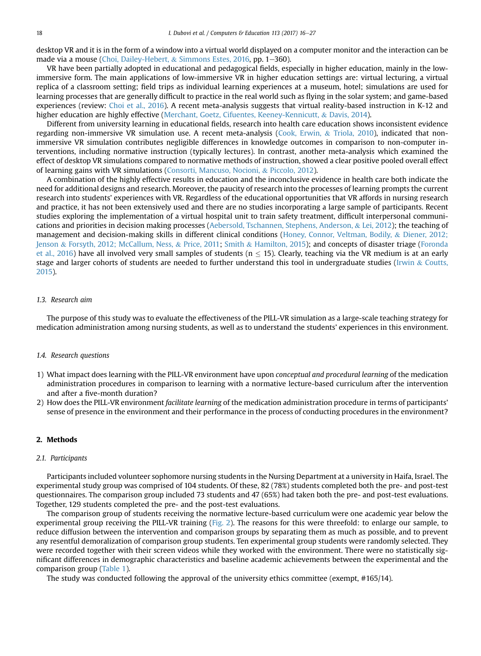desktop VR and it is in the form of a window into a virtual world displayed on a computer monitor and the interaction can be made via a mouse ([Choi, Dailey-Hebert,](#page-10-0)  $\&$  [Simmons Estes, 2016](#page-10-0), pp. 1–360).

VR have been partially adopted in educational and pedagogical fields, especially in higher education, mainly in the lowimmersive form. The main applications of low-immersive VR in higher education settings are: virtual lecturing, a virtual replica of a classroom setting; field trips as individual learning experiences at a museum, hotel; simulations are used for learning processes that are generally difficult to practice in the real world such as flying in the solar system; and game-based experiences (review: [Choi et al., 2016\)](#page-10-0). A recent meta-analysis suggests that virtual reality-based instruction in K-12 and higher education are highly effective ([Merchant, Goetz, Cifuentes, Keeney-Kennicutt,](#page-11-0) & [Davis, 2014\)](#page-11-0).

Different from university learning in educational fields, research into health care education shows inconsistent evidence regarding non-immersive VR simulation use. A recent meta-analysis [\(Cook, Erwin,](#page-10-0) & [Triola, 2010](#page-10-0)), indicated that nonimmersive VR simulation contributes negligible differences in knowledge outcomes in comparison to non-computer interventions, including normative instruction (typically lectures). In contrast, another meta-analysis which examined the effect of desktop VR simulations compared to normative methods of instruction, showed a clear positive pooled overall effect of learning gains with VR simulations [\(Consorti, Mancuso, Nocioni,](#page-10-0) & [Piccolo, 2012](#page-10-0)).

A combination of the highly effective results in education and the inconclusive evidence in health care both indicate the need for additional designs and research. Moreover, the paucity of research into the processes of learning prompts the current research into students' experiences with VR. Regardless of the educational opportunities that VR affords in nursing research and practice, it has not been extensively used and there are no studies incorporating a large sample of participants. Recent studies exploring the implementation of a virtual hospital unit to train safety treatment, difficult interpersonal communications and priorities in decision making processes [\(Aebersold, Tschannen, Stephens, Anderson,](#page-10-0) & [Lei, 2012](#page-10-0)); the teaching of management and decision-making skills in different clinical conditions [\(Honey, Connor, Veltman, Bodily,](#page-11-0) & [Diener, 2012;](#page-11-0) [Jenson](#page-11-0) & [Forsyth, 2012; McCallum, Ness,](#page-11-0) & [Price, 2011;](#page-11-0) [Smith](#page-11-0) & [Hamilton, 2015](#page-11-0)); and concepts of disaster triage ([Foronda](#page-11-0) [et al., 2016\)](#page-11-0) have all involved very small samples of students ( $n \le 15$ ). Clearly, teaching via the VR medium is at an early stage and larger cohorts of students are needed to further understand this tool in undergraduate studies ([Irwin](#page-11-0)  $\&$  [Coutts,](#page-11-0) [2015](#page-11-0)).

# 1.3. Research aim

The purpose of this study was to evaluate the effectiveness of the PILL-VR simulation as a large-scale teaching strategy for medication administration among nursing students, as well as to understand the students' experiences in this environment.

## 1.4. Research questions

- 1) What impact does learning with the PILL-VR environment have upon conceptual and procedural learning of the medication administration procedures in comparison to learning with a normative lecture-based curriculum after the intervention and after a five-month duration?
- 2) How does the PILL-VR environment facilitate learning of the medication administration procedure in terms of participants' sense of presence in the environment and their performance in the process of conducting procedures in the environment?

## 2. Methods

#### 2.1. Participants

Participants included volunteer sophomore nursing students in the Nursing Department at a university in Haifa, Israel. The experimental study group was comprised of 104 students. Of these, 82 (78%) students completed both the pre- and post-test questionnaires. The comparison group included 73 students and 47 (65%) had taken both the pre- and post-test evaluations. Together, 129 students completed the pre- and the post-test evaluations.

The comparison group of students receiving the normative lecture-based curriculum were one academic year below the experimental group receiving the PILL-VR training [\(Fig. 2\)](#page-5-0). The reasons for this were threefold: to enlarge our sample, to reduce diffusion between the intervention and comparison groups by separating them as much as possible, and to prevent any resentful demoralization of comparison group students. Ten experimental group students were randomly selected. They were recorded together with their screen videos while they worked with the environment. There were no statistically significant differences in demographic characteristics and baseline academic achievements between the experimental and the comparison group ([Table 1\)](#page-3-0).

The study was conducted following the approval of the university ethics committee (exempt, #165/14).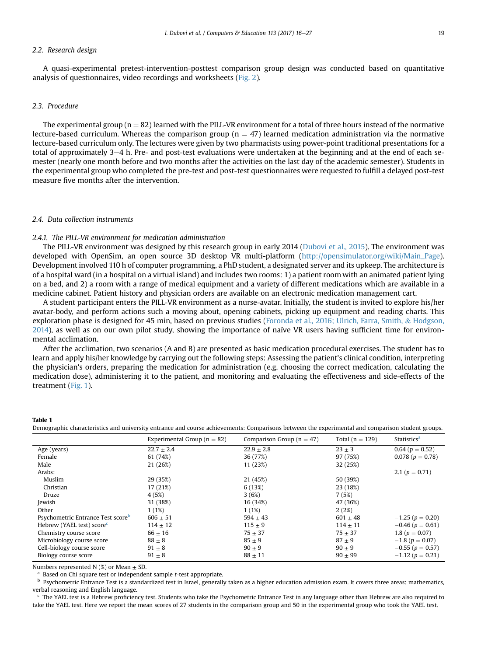# <span id="page-3-0"></span>2.2. Research design

A quasi-experimental pretest-intervention-posttest comparison group design was conducted based on quantitative analysis of questionnaires, video recordings and worksheets ([Fig. 2](#page-5-0)).

#### 2.3. Procedure

Table 1

The experimental group ( $n = 82$ ) learned with the PILL-VR environment for a total of three hours instead of the normative lecture-based curriculum. Whereas the comparison group ( $n = 47$ ) learned medication administration via the normative lecture-based curriculum only. The lectures were given by two pharmacists using power-point traditional presentations for a total of approximately  $3-4$  h. Pre- and post-test evaluations were undertaken at the beginning and at the end of each semester (nearly one month before and two months after the activities on the last day of the academic semester). Students in the experimental group who completed the pre-test and post-test questionnaires were requested to fulfill a delayed post-test measure five months after the intervention.

## 2.4. Data collection instruments

#### 2.4.1. The PILL-VR environment for medication administration

The PILL-VR environment was designed by this research group in early 2014 ([Dubovi et al., 2015](#page-10-0)). The environment was developed with OpenSim, an open source 3D desktop VR multi-platform ([http://opensimulator.org/wiki/Main\\_Page](http://opensimulator.org/wiki/Main_Page)). Development involved 110 h of computer programming, a PhD student, a designated server and its upkeep. The architecture is of a hospital ward (in a hospital on a virtual island) and includes two rooms: 1) a patient room with an animated patient lying on a bed, and 2) a room with a range of medical equipment and a variety of different medications which are available in a medicine cabinet. Patient history and physician orders are available on an electronic medication management cart.

A student participant enters the PILL-VR environment as a nurse-avatar. Initially, the student is invited to explore his/her avatar-body, and perform actions such a moving about, opening cabinets, picking up equipment and reading charts. This exploration phase is designed for 45 min, based on previous studies [\(Foronda et al., 2016; Ulrich, Farra, Smith,](#page-11-0) & [Hodgson,](#page-11-0) [2014](#page-11-0)), as well as on our own pilot study, showing the importance of naïve VR users having sufficient time for environmental acclimation.

After the acclimation, two scenarios (A and B) are presented as basic medication procedural exercises. The student has to learn and apply his/her knowledge by carrying out the following steps: Assessing the patient's clinical condition, interpreting the physician's orders, preparing the medication for administration (e.g. choosing the correct medication, calculating the medication dose), administering it to the patient, and monitoring and evaluating the effectiveness and side-effects of the treatment [\(Fig. 1\)](#page-5-0).

| Demographic characteristics and university entrance and course achievements: Comparisons between the experimental and comparison student groups. |                                 |                               |                   |                         |
|--------------------------------------------------------------------------------------------------------------------------------------------------|---------------------------------|-------------------------------|-------------------|-------------------------|
|                                                                                                                                                  | Experimental Group ( $n = 82$ ) | Comparison Group ( $n = 47$ ) | Total $(n = 129)$ | Statistics <sup>a</sup> |
| Age (years)                                                                                                                                      | $22.7 \pm 2.4$                  | $22.9 \pm 2.8$                | $23 \pm 3$        | $0.64$ ( $p = 0.52$ )   |
| Female                                                                                                                                           | 61 (74%)                        | 36 (77%)                      | 97 (75%)          | $0.078(p = 0.78)$       |
| Male                                                                                                                                             | 21 (26%)                        | 11 (23%)                      | 32 (25%)          |                         |
| Arabs:                                                                                                                                           |                                 |                               |                   | 2.1 ( $p = 0.71$ )      |
| Muslim                                                                                                                                           | 29 (35%)                        | 21 (45%)                      | 50 (39%)          |                         |
| Christian                                                                                                                                        | 17 (21%)                        | 6(13%)                        | 23 (18%)          |                         |
| Druze                                                                                                                                            | 4(5%)                           | 3(6%)                         | 7(5%)             |                         |
| Jewish                                                                                                                                           | 31 (38%)                        | 16 (34%)                      | 47 (36%)          |                         |
| Other                                                                                                                                            | 1(1%)                           | 1(1%)                         | 2(2%)             |                         |
| Psychometric Entrance Test score <sup>b</sup>                                                                                                    | $606 \pm 51$                    | $594 + 43$                    | $601 + 48$        | $-1.25$ ( $p = 0.20$ )  |
| Hebrew (YAEL test) score <sup>c</sup>                                                                                                            | $114 \pm 12$                    | $115 \pm 9$                   | $114 + 11$        | $-0.46$ ( $p = 0.61$ )  |
| Chemistry course score                                                                                                                           | $66 \pm 16$                     | $75 \pm 37$                   | $75 \pm 37$       | 1.8 ( $p = 0.07$ )      |
| Microbiology course score                                                                                                                        | $88 \pm 8$                      | $85 \pm 9$                    | $87 \pm 9$        | $-1.8$ ( $p = 0.07$ )   |
| Cell-biology course score                                                                                                                        | $91 \pm 8$                      | $90 \pm 9$                    | $90 \pm 9$        | $-0.55$ ( $p = 0.57$ )  |
| Biology course score                                                                                                                             | $91 \pm 8$                      | $88 \pm 11$                   | $90 + 99$         | $-1.12$ ( $p = 0.21$ )  |

Demographic characteristics and university entrance and course achievements: Comparisons between the experimental and comparison student groups.

Numbers represented N  $(\%)$  or Mean  $\pm$  SD.

 $a$  Based on Chi square test or independent sample  $t$ -test appropriate.

<sup>b</sup> Psychometric Entrance Test is a standardized test in Israel, generally taken as a higher education admission exam. It covers three areas: mathematics, verbal reasoning and English language.

 $c$  The YAEL test is a Hebrew proficiency test. Students who take the Psychometric Entrance Test in any language other than Hebrew are also required to take the YAEL test. Here we report the mean scores of 27 students in the comparison group and 50 in the experimental group who took the YAEL test.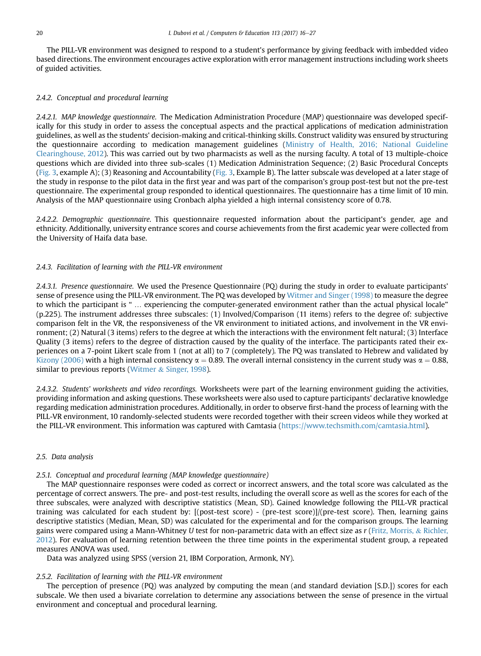The PILL-VR environment was designed to respond to a student's performance by giving feedback with imbedded video based directions. The environment encourages active exploration with error management instructions including work sheets of guided activities.

# 2.4.2. Conceptual and procedural learning

2.4.2.1. MAP knowledge questionnaire. The Medication Administration Procedure (MAP) questionnaire was developed specifically for this study in order to assess the conceptual aspects and the practical applications of medication administration guidelines, as well as the students' decision-making and critical-thinking skills. Construct validity was ensured by structuring the questionnaire according to medication management guidelines [\(Ministry of Health, 2016; National Guideline](#page-11-0) [Clearinghouse, 2012\)](#page-11-0). This was carried out by two pharmacists as well as the nursing faculty. A total of 13 multiple-choice questions which are divided into three sub-scales (1) Medication Administration Sequence; (2) Basic Procedural Concepts [\(Fig. 3,](#page-6-0) example A); (3) Reasoning and Accountability [\(Fig. 3,](#page-6-0) Example B). The latter subscale was developed at a later stage of the study in response to the pilot data in the first year and was part of the comparison's group post-test but not the pre-test questionnaire. The experimental group responded to identical questionnaires. The questionnaire has a time limit of 10 min. Analysis of the MAP questionnaire using Cronbach alpha yielded a high internal consistency score of 0.78.

2.4.2.2. Demographic questionnaire. This questionnaire requested information about the participant's gender, age and ethnicity. Additionally, university entrance scores and course achievements from the first academic year were collected from the University of Haifa data base.

# 2.4.3. Facilitation of learning with the PILL-VR environment

2.4.3.1. Presence questionnaire. We used the Presence Ouestionnaire (PO) during the study in order to evaluate participants' sense of presence using the PILL-VR environment. The PQ was developed by [Witmer and Singer \(1998\)](#page-11-0) to measure the degree to which the participant is " … experiencing the computer-generated environment rather than the actual physical locale" (p.225). The instrument addresses three subscales: (1) Involved/Comparison (11 items) refers to the degree of: subjective comparison felt in the VR, the responsiveness of the VR environment to initiated actions, and involvement in the VR environment; (2) Natural (3 items) refers to the degree at which the interactions with the environment felt natural; (3) Interface Quality (3 items) refers to the degree of distraction caused by the quality of the interface. The participants rated their experiences on a 7-point Likert scale from 1 (not at all) to 7 (completely). The PQ was translated to Hebrew and validated by [Kizony \(2006\)](#page-11-0) with a high internal consistency  $\alpha = 0.89$ . The overall internal consistency in the current study was  $\alpha = 0.88$ , similar to previous reports [\(Witmer](#page-11-0) & [Singer, 1998\)](#page-11-0).

2.4.3.2. Students' worksheets and video recordings. Worksheets were part of the learning environment guiding the activities, providing information and asking questions. These worksheets were also used to capture participants' declarative knowledge regarding medication administration procedures. Additionally, in order to observe first-hand the process of learning with the PILL-VR environment, 10 randomly-selected students were recorded together with their screen videos while they worked at the PILL-VR environment. This information was captured with Camtasia (<https://www.techsmith.com/camtasia.html>).

## 2.5. Data analysis

#### 2.5.1. Conceptual and procedural learning (MAP knowledge questionnaire)

The MAP questionnaire responses were coded as correct or incorrect answers, and the total score was calculated as the percentage of correct answers. The pre- and post-test results, including the overall score as well as the scores for each of the three subscales, were analyzed with descriptive statistics (Mean, SD). Gained knowledge following the PILL-VR practical training was calculated for each student by: [(post-test score) - (pre-test score)]/(pre-test score). Then, learning gains descriptive statistics (Median, Mean, SD) was calculated for the experimental and for the comparison groups. The learning gains were compared using a Mann-Whitney U test for non-parametric data with an effect size as  $r$  ([Fritz, Morris,](#page-11-0) & [Richler,](#page-11-0) [2012](#page-11-0)). For evaluation of learning retention between the three time points in the experimental student group, a repeated measures ANOVA was used.

Data was analyzed using SPSS (version 21, IBM Corporation, Armonk, NY).

#### 2.5.2. Facilitation of learning with the PILL-VR environment

The perception of presence (PQ) was analyzed by computing the mean (and standard deviation [S.D.]) scores for each subscale. We then used a bivariate correlation to determine any associations between the sense of presence in the virtual environment and conceptual and procedural learning.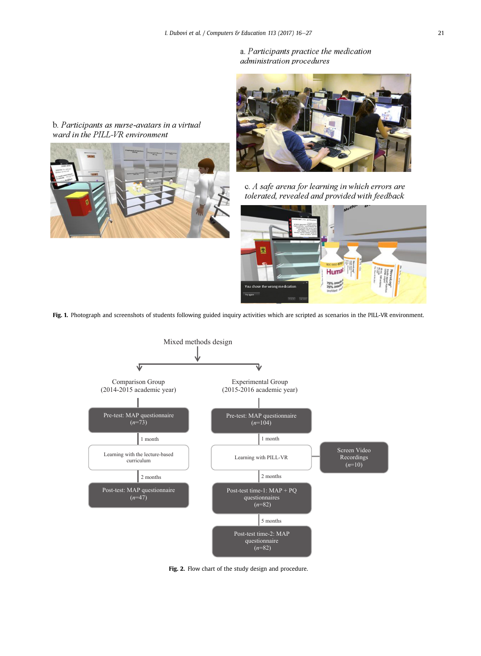a. Participants practice the medication administration procedures



c. A safe arena for learning in which errors are tolerated, revealed and provided with feedback



Fig. 1. Photograph and screenshots of students following guided inquiry activities which are scripted as scenarios in the PILL-VR environment.



Fig. 2. Flow chart of the study design and procedure.

<span id="page-5-0"></span>b. Participants as nurse-avatars in a virtual ward in the PILL-VR environment

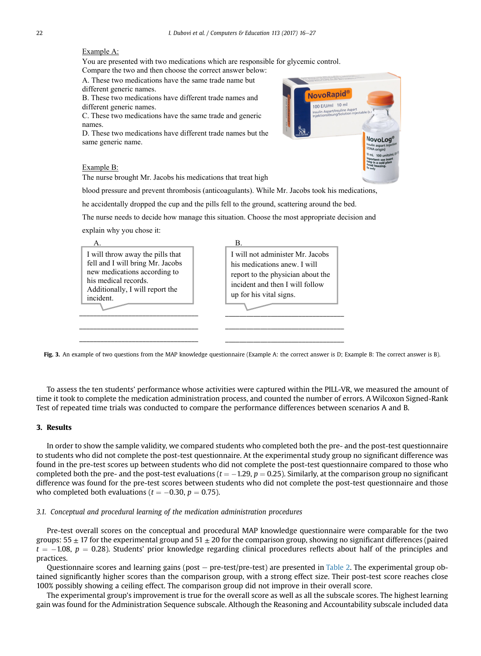# <span id="page-6-0"></span>Example A:

You are presented with two medications which are responsible for glycemic control.

Compare the two and then choose the correct answer below:

A. These two medications have the same trade name but different generic names.

B. These two medications have different trade names and different generic names.

C. These two medications have the same trade and generic names.

D. These two medications have different trade names but the same generic name.

## Example B:

The nurse brought Mr. Jacobs his medications that treat high

blood pressure and prevent thrombosis (anticoagulants). While Mr. Jacobs took his medications,

he accidentally dropped the cup and the pills fell to the ground, scattering around the bed.

The nurse needs to decide how manage this situation. Choose the most appropriate decision and

explain why you chose it:

| А.                                                                                                                                                                           | В.                                                                                                                                                                  |
|------------------------------------------------------------------------------------------------------------------------------------------------------------------------------|---------------------------------------------------------------------------------------------------------------------------------------------------------------------|
| I will throw away the pills that<br>fell and I will bring Mr. Jacobs<br>new medications according to<br>his medical records.<br>Additionally, I will report the<br>incident. | I will not administer Mr. Jacobs<br>his medications anew. I will<br>report to the physician about the<br>incident and then I will follow<br>up for his vital signs. |
|                                                                                                                                                                              |                                                                                                                                                                     |

Fig. 3. An example of two questions from the MAP knowledge questionnaire (Example A: the correct answer is D; Example B: The correct answer is B).

To assess the ten students' performance whose activities were captured within the PILL-VR, we measured the amount of time it took to complete the medication administration process, and counted the number of errors. A Wilcoxon Signed-Rank Test of repeated time trials was conducted to compare the performance differences between scenarios A and B.

# 3. Results

In order to show the sample validity, we compared students who completed both the pre- and the post-test questionnaire to students who did not complete the post-test questionnaire. At the experimental study group no significant difference was found in the pre-test scores up between students who did not complete the post-test questionnaire compared to those who completed both the pre- and the post-test evaluations ( $t = -1.29$ ,  $p = 0.25$ ). Similarly, at the comparison group no significant difference was found for the pre-test scores between students who did not complete the post-test questionnaire and those who completed both evaluations ( $t = -0.30$ ,  $p = 0.75$ ).

## 3.1. Conceptual and procedural learning of the medication administration procedures

Pre-test overall scores on the conceptual and procedural MAP knowledge questionnaire were comparable for the two groups:  $55 \pm 17$  for the experimental group and  $51 \pm 20$  for the comparison group, showing no significant differences (paired  $t = -1.08$ ,  $p = 0.28$ ). Students' prior knowledge regarding clinical procedures reflects about half of the principles and practices.

Questionnaire scores and learning gains (post  $-$  pre-test/pre-test) are presented in [Table 2](#page-7-0). The experimental group obtained significantly higher scores than the comparison group, with a strong effect size. Their post-test score reaches close 100% possibly showing a ceiling effect. The comparison group did not improve in their overall score.

The experimental group's improvement is true for the overall score as well as all the subscale scores. The highest learning gain was found for the Administration Sequence subscale. Although the Reasoning and Accountability subscale included data

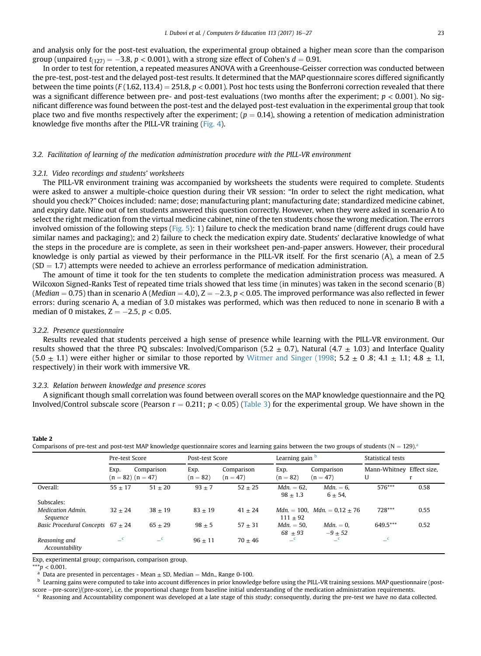<span id="page-7-0"></span>and analysis only for the post-test evaluation, the experimental group obtained a higher mean score than the comparison group (unpaired  $t_{(127)} = -3.8$ , p < 0.001), with a strong size effect of Cohen's  $d = 0.91$ .

In order to test for retention, a repeated measures ANOVA with a Greenhouse-Geisser correction was conducted between the pre-test, post-test and the delayed post-test results. It determined that the MAP questionnaire scores differed significantly between the time points (F (1.62, 113.4) = 251.8,  $p < 0.001$ ). Post hoc tests using the Bonferroni correction revealed that there was a significant difference between pre- and post-test evaluations (two months after the experiment;  $p < 0.001$ ). No significant difference was found between the post-test and the delayed post-test evaluation in the experimental group that took place two and five months respectively after the experiment;  $(p = 0.14)$ , showing a retention of medication administration knowledge five months after the PILL-VR training [\(Fig. 4](#page-8-0)).

### 3.2. Facilitation of learning of the medication administration procedure with the PILL-VR environment

#### 3.2.1. Video recordings and students' worksheets

The PILL-VR environment training was accompanied by worksheets the students were required to complete. Students were asked to answer a multiple-choice question during their VR session: "In order to select the right medication, what should you check?" Choices included: name; dose; manufacturing plant; manufacturing date; standardized medicine cabinet, and expiry date. Nine out of ten students answered this question correctly. However, when they were asked in scenario A to select the right medication from the virtual medicine cabinet, nine of the ten students chose the wrong medication. The errors involved omission of the following steps ([Fig. 5\)](#page-9-0): 1) failure to check the medication brand name (different drugs could have similar names and packaging); and 2) failure to check the medication expiry date. Students' declarative knowledge of what the steps in the procedure are is complete, as seen in their worksheet pen-and-paper answers. However, their procedural knowledge is only partial as viewed by their performance in the PILL-VR itself. For the first scenario (A), a mean of 2.5  $(SD = 1.7)$  attempts were needed to achieve an errorless performance of medication administration.

The amount of time it took for the ten students to complete the medication administration process was measured. A Wilcoxon Signed-Ranks Test of repeated time trials showed that less time (in minutes) was taken in the second scenario (B) (*Median* = 0.75) than in scenario A (*Median* = 4.0),  $Z = -2.3$ ,  $p < 0.05$ . The improved performance was also reflected in fewer errors: during scenario A, a median of 3.0 mistakes was performed, which was then reduced to none in scenario B with a median of 0 mistakes,  $Z = -2.5$ ,  $p < 0.05$ .

### 3.2.2. Presence questionnaire

Results revealed that students perceived a high sense of presence while learning with the PILL-VR environment. Our results showed that the three PQ subscales: Involved/Comparison (5.2  $\pm$  0.7), Natural (4.7  $\pm$  1.03) and Interface Quality  $(5.0 \pm 1.1)$  were either higher or similar to those reported by [Witmer and Singer \(1998](#page-11-0);  $5.2 \pm 0.8$ ;  $4.1 \pm 1.1$ ;  $4.8 \pm 1.1$ , respectively) in their work with immersive VR.

#### 3.2.3. Relation between knowledge and presence scores

A significant though small correlation was found between overall scores on the MAP knowledge questionnaire and the PQ Involved/Control subscale score (Pearson  $r = 0.211$ ;  $p < 0.05$ ) ([Table 3](#page-9-0)) for the experimental group. We have shown in the

| Comparisons or pre-test and post-test in/u-knowledge questionnanc scores and learning gams between the two groups or students (iv = 129). |                             |                           |                    |                          |                           |                                 |                                |      |
|-------------------------------------------------------------------------------------------------------------------------------------------|-----------------------------|---------------------------|--------------------|--------------------------|---------------------------|---------------------------------|--------------------------------|------|
|                                                                                                                                           | Pre-test Score              |                           | Post-test Score    |                          | Learning gain b           |                                 | Statistical tests              |      |
|                                                                                                                                           | Exp.<br>$(n = 82) (n = 47)$ | Comparison                | Exp.<br>$(n = 82)$ | Comparison<br>$(n = 47)$ | Exp.<br>$(n = 82)$        | Comparison<br>$(n = 47)$        | Mann-Whitney Effect size,<br>U |      |
| Overall:                                                                                                                                  | $55 + 17$                   | $51 + 20$                 | $93 + 7$           | $52 + 25$                | $Mdn = 62.$<br>$98 + 1.3$ | $Mdn = 6$ .<br>$6 + 54$ .       | $576***$                       | 0.58 |
| Subscales:                                                                                                                                |                             |                           |                    |                          |                           |                                 |                                |      |
| <b>Medication Admin.</b><br>Seauence                                                                                                      | $32 + 24$                   | $38 + 19$                 | $83 + 19$          | $41 + 24$                | $111 + 92$                | $Mdn = 100$ . $Mdn = 0.12 + 76$ | 728***                         | 0.55 |
| Basic Procedural Concepts $67 \pm 24$                                                                                                     |                             | $65 + 29$                 | $98 \pm 5$         | $57 + 31$                | $Mdn = 50$ .<br>$68 + 93$ | $Mdn = 0.$<br>$-9+52$           | $649.5***$                     | 0.52 |
| Reasoning and<br>Accountability                                                                                                           | $\mathbf{C}$                | $\mathbf{-}^{\mathbf{c}}$ | $96 + 11$          | $70 + 46$                | $\mathbf{-c}$             | $\mathsf{C}$                    | $\equiv$ <sup>c</sup>          |      |

| Comparisons of pre-test and post-test MAP knowledge questionnaire scores and learning gains between the two groups of students (N = 129). <sup>a</sup> |  |
|--------------------------------------------------------------------------------------------------------------------------------------------------------|--|
|--------------------------------------------------------------------------------------------------------------------------------------------------------|--|

Exp, experimental group; comparison, comparison group.

 $***p < 0.001$ .

Table 2

 $^{\text{a}}$  Data are presented in percentages - Mean  $\pm$  SD, Median = Mdn., Range 0-100.<br>b Learning gains were computed to take into account differences in prior knowledge before using the PILL-VR training sessions. MAP que score -pre-score)/(pre-score), i.e. the proportional change from baseline initial understanding of the medication administration requirements.

<sup>c</sup> Reasoning and Accountability component was developed at a late stage of this study; consequently, during the pre-test we have no data collected.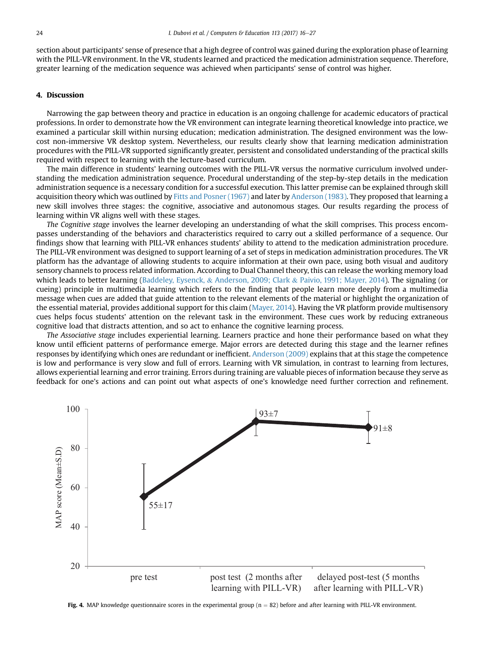<span id="page-8-0"></span>section about participants' sense of presence that a high degree of control was gained during the exploration phase of learning with the PILL-VR environment. In the VR, students learned and practiced the medication administration sequence. Therefore, greater learning of the medication sequence was achieved when participants' sense of control was higher.

# 4. Discussion

Narrowing the gap between theory and practice in education is an ongoing challenge for academic educators of practical professions. In order to demonstrate how the VR environment can integrate learning theoretical knowledge into practice, we examined a particular skill within nursing education; medication administration. The designed environment was the lowcost non-immersive VR desktop system. Nevertheless, our results clearly show that learning medication administration procedures with the PILL-VR supported significantly greater, persistent and consolidated understanding of the practical skills required with respect to learning with the lecture-based curriculum.

The main difference in students' learning outcomes with the PILL-VR versus the normative curriculum involved understanding the medication administration sequence. Procedural understanding of the step-by-step details in the medication administration sequence is a necessary condition for a successful execution. This latter premise can be explained through skill acquisition theory which was outlined by [Fitts and Posner \(1967\)](#page-11-0) and later by [Anderson \(1983\)](#page-10-0). They proposed that learning a new skill involves three stages: the cognitive, associative and autonomous stages. Our results regarding the process of learning within VR aligns well with these stages.

The Cognitive stage involves the learner developing an understanding of what the skill comprises. This process encompasses understanding of the behaviors and characteristics required to carry out a skilled performance of a sequence. Our findings show that learning with PILL-VR enhances students' ability to attend to the medication administration procedure. The PILL-VR environment was designed to support learning of a set of steps in medication administration procedures. The VR platform has the advantage of allowing students to acquire information at their own pace, using both visual and auditory sensory channels to process related information. According to Dual Channel theory, this can release the working memory load which leads to better learning [\(Baddeley, Eysenck,](#page-10-0) & [Anderson, 2009; Clark](#page-10-0) & [Paivio, 1991; Mayer, 2014\)](#page-10-0). The signaling (or cueing) principle in multimedia learning which refers to the finding that people learn more deeply from a multimedia message when cues are added that guide attention to the relevant elements of the material or highlight the organization of the essential material, provides additional support for this claim [\(Mayer, 2014\)](#page-11-0). Having the VR platform provide multisensory cues helps focus students' attention on the relevant task in the environment. These cues work by reducing extraneous cognitive load that distracts attention, and so act to enhance the cognitive learning process.

The Associative stage includes experiential learning. Learners practice and hone their performance based on what they know until efficient patterns of performance emerge. Major errors are detected during this stage and the learner refines responses by identifying which ones are redundant or inefficient. [Anderson \(2009\)](#page-10-0) explains that at this stage the competence is low and performance is very slow and full of errors. Learning with VR simulation, in contrast to learning from lectures, allows experiential learning and error training. Errors during training are valuable pieces of information because they serve as feedback for one's actions and can point out what aspects of one's knowledge need further correction and refinement.



Fig. 4. MAP knowledge questionnaire scores in the experimental group ( $n = 82$ ) before and after learning with PILL-VR environment.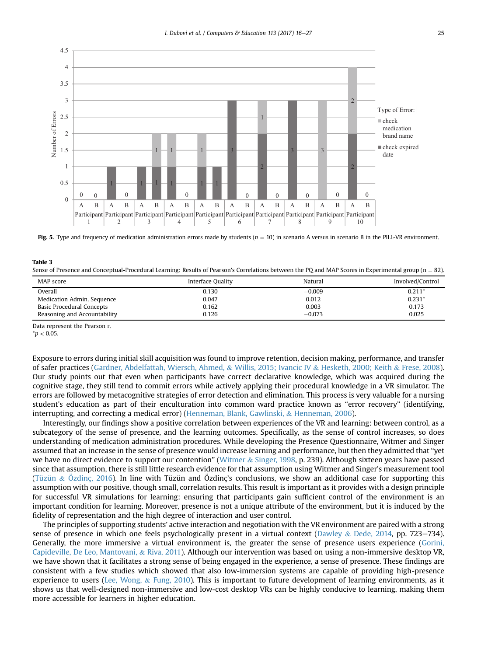<span id="page-9-0"></span>

Fig. 5. Type and frequency of medication administration errors made by students ( $n = 10$ ) in scenario A versus in scenario B in the PILL-VR environment.

| Table 3                                                                                                                                                   |  |
|-----------------------------------------------------------------------------------------------------------------------------------------------------------|--|
| Sense of Presence and Conceptual-Procedural Learning: Results of Pearson's Correlations between the PQ and MAP Scores in Experimental group ( $n = 82$ ). |  |

| MAP score                    | Interface Quality | Natural  | Involved/Control |
|------------------------------|-------------------|----------|------------------|
| Overall                      | 0.130             | $-0.009$ | $0.211*$         |
| Medication Admin, Sequence   | 0.047             | 0.012    | $0.231*$         |
| Basic Procedural Concepts    | 0.162             | 0.003    | 0.173            |
| Reasoning and Accountability | 0.126             | $-0.073$ | 0.025            |

Data represent the Pearson r.

 $*p < 0.05$ .

Exposure to errors during initial skill acquisition was found to improve retention, decision making, performance, and transfer of safer practices [\(Gardner, Abdelfattah, Wiersch, Ahmed,](#page-11-0) & [Willis, 2015; Ivancic IV](#page-11-0) & [Hesketh, 2000; Keith](#page-11-0) & [Frese, 2008](#page-11-0)). Our study points out that even when participants have correct declarative knowledge, which was acquired during the cognitive stage, they still tend to commit errors while actively applying their procedural knowledge in a VR simulator. The errors are followed by metacognitive strategies of error detection and elimination. This process is very valuable for a nursing student's education as part of their enculturation into common ward practice known as "error recovery" (identifying, interrupting, and correcting a medical error) [\(Henneman, Blank, Gawlinski,](#page-11-0) & [Henneman, 2006](#page-11-0)).

Interestingly, our findings show a positive correlation between experiences of the VR and learning: between control, as a subcategory of the sense of presence, and the learning outcomes. Specifically, as the sense of control increases, so does understanding of medication administration procedures. While developing the Presence Questionnaire, Witmer and Singer assumed that an increase in the sense of presence would increase learning and performance, but then they admitted that "yet we have no direct evidence to support our contention" ([Witmer](#page-11-0) & [Singer, 1998](#page-11-0), p. 239). Although sixteen years have passed since that assumption, there is still little research evidence for that assumption using Witmer and Singer's measurement tool ([Tüzün](#page-11-0) & Özdinç, 2016). In line with Tüzün and Özdinç's conclusions, we show an additional case for supporting this assumption with our positive, though small, correlation results. This result is important as it provides with a design principle for successful VR simulations for learning: ensuring that participants gain sufficient control of the environment is an important condition for learning. Moreover, presence is not a unique attribute of the environment, but it is induced by the fidelity of representation and the high degree of interaction and user control.

The principles of supporting students' active interaction and negotiation with the VR environment are paired with a strong sense of presence in which one feels psychologically present in a virtual context [\(Dawley](#page-10-0) & [Dede, 2014,](#page-10-0) pp. 723–734). Generally, the more immersive a virtual environment is, the greater the sense of presence users experience ([Gorini,](#page-11-0) [Capideville, De Leo, Mantovani,](#page-11-0) & [Riva, 2011](#page-11-0)). Although our intervention was based on using a non-immersive desktop VR, we have shown that it facilitates a strong sense of being engaged in the experience, a sense of presence. These findings are consistent with a few studies which showed that also low-immersion systems are capable of providing high-presence experience to users [\(Lee, Wong,](#page-11-0)  $&$  [Fung, 2010](#page-11-0)). This is important to future development of learning environments, as it shows us that well-designed non-immersive and low-cost desktop VRs can be highly conducive to learning, making them more accessible for learners in higher education.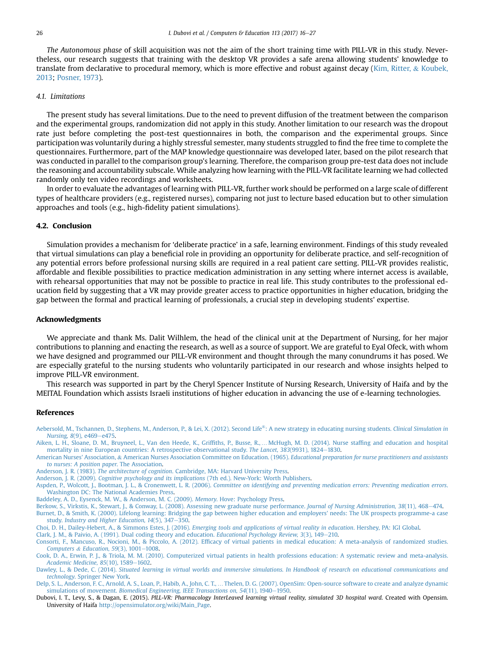<span id="page-10-0"></span>The Autonomous phase of skill acquisition was not the aim of the short training time with PILL-VR in this study. Nevertheless, our research suggests that training with the desktop VR provides a safe arena allowing students' knowledge to translate from declarative to procedural memory, which is more effective and robust against decay ([Kim, Ritter,](#page-11-0)  $\&$  [Koubek,](#page-11-0) [2013](#page-11-0); [Posner, 1973\)](#page-11-0).

## 4.1. Limitations

The present study has several limitations. Due to the need to prevent diffusion of the treatment between the comparison and the experimental groups, randomization did not apply in this study. Another limitation to our research was the dropout rate just before completing the post-test questionnaires in both, the comparison and the experimental groups. Since participation was voluntarily during a highly stressful semester, many students struggled to find the free time to complete the questionnaires. Furthermore, part of the MAP knowledge questionnaire was developed later, based on the pilot research that was conducted in parallel to the comparison group's learning. Therefore, the comparison group pre-test data does not include the reasoning and accountability subscale. While analyzing how learning with the PILL-VR facilitate learning we had collected randomly only ten video recordings and worksheets.

In order to evaluate the advantages of learning with PILL-VR, further work should be performed on a large scale of different types of healthcare providers (e.g., registered nurses), comparing not just to lecture based education but to other simulation approaches and tools (e.g., high-fidelity patient simulations).

#### 4.2. Conclusion

Simulation provides a mechanism for 'deliberate practice' in a safe, learning environment. Findings of this study revealed that virtual simulations can play a beneficial role in providing an opportunity for deliberate practice, and self-recognition of any potential errors before professional nursing skills are required in a real patient care setting. PILL-VR provides realistic, affordable and flexible possibilities to practice medication administration in any setting where internet access is available, with rehearsal opportunities that may not be possible to practice in real life. This study contributes to the professional education field by suggesting that a VR may provide greater access to practice opportunities in higher education, bridging the gap between the formal and practical learning of professionals, a crucial step in developing students' expertise.

### Acknowledgments

We appreciate and thank Ms. Dalit Wilhlem, the head of the clinical unit at the Department of Nursing, for her major contributions to planning and enacting the research, as well as a source of support. We are grateful to Eyal Ofeck, with whom we have designed and programmed our PILL-VR environment and thought through the many conundrums it has posed. We are especially grateful to the nursing students who voluntarily participated in our research and whose insights helped to improve PILL-VR environment.

This research was supported in part by the Cheryl Spencer Institute of Nursing Research, University of Haifa and by the MEITAL Foundation which assists Israeli institutions of higher education in advancing the use of e-learning technologies.

#### **References**

[Aebersold,](http://refhub.elsevier.com/S0360-1315(17)30114-8/sref1) [M.,](http://refhub.elsevier.com/S0360-1315(17)30114-8/sref1) [Tschannen,](http://refhub.elsevier.com/S0360-1315(17)30114-8/sref1) [D.,](http://refhub.elsevier.com/S0360-1315(17)30114-8/sref1) [Stephens,](http://refhub.elsevier.com/S0360-1315(17)30114-8/sref1) M., [Anderson,](http://refhub.elsevier.com/S0360-1315(17)30114-8/sref1) [P.,](http://refhub.elsevier.com/S0360-1315(17)30114-8/sref1) [&](http://refhub.elsevier.com/S0360-1315(17)30114-8/sref1) [Lei,](http://refhub.elsevier.com/S0360-1315(17)30114-8/sref1) [X.](http://refhub.elsevier.com/S0360-1315(17)30114-8/sref1) [\(2012\).](http://refhub.elsevier.com/S0360-1315(17)30114-8/sref1) [Second](http://refhub.elsevier.com/S0360-1315(17)30114-8/sref1) [Life](http://refhub.elsevier.com/S0360-1315(17)30114-8/sref1)®[: A new strategy in educating nursing students.](http://refhub.elsevier.com/S0360-1315(17)30114-8/sref1) Clinical Simulation in [Nursing, 8](http://refhub.elsevier.com/S0360-1315(17)30114-8/sref1)(9), e469-[e475.](http://refhub.elsevier.com/S0360-1315(17)30114-8/sref1)

[Aiken, L. H., Sloane, D. M., Bruyneel, L., Van den Heede, K., Grif](http://refhub.elsevier.com/S0360-1315(17)30114-8/sref2)fiths, P., Busse, R., …McHugh, M. D. (2014). Nurse staffing and education and hospital [mortality in nine European countries: A retrospective observational study.](http://refhub.elsevier.com/S0360-1315(17)30114-8/sref2) The Lancet, 383(9931), 1824–[1830](http://refhub.elsevier.com/S0360-1315(17)30114-8/sref2).

[American Nurses' Association,](http://refhub.elsevier.com/S0360-1315(17)30114-8/sref3) & [American Nurses Association Committee on Education. \(1965\).](http://refhub.elsevier.com/S0360-1315(17)30114-8/sref3) Educational preparation for nurse practitioners and assistants [to nurses: A position paper](http://refhub.elsevier.com/S0360-1315(17)30114-8/sref3). The Association.

Anderson, J. R. (1983). The architecture of cognition[. Cambridge, MA: Harvard University Press](http://refhub.elsevier.com/S0360-1315(17)30114-8/sref4).

Anderson, J. R. (2009). [Cognitive psychology and its implications](http://refhub.elsevier.com/S0360-1315(17)30114-8/sref5) (7th ed.). New-York: Worth Publishers.

Aspden, P., Wolcott, J., Bootman, J. L., & Cronenwett, L. R. (2006). [Committee on identifying and preventing medication errors: Preventing medication errors](http://refhub.elsevier.com/S0360-1315(17)30114-8/sref6). [Washington DC: The National Academies Press](http://refhub.elsevier.com/S0360-1315(17)30114-8/sref6).

[Baddeley, A. D., Eysenck, M. W., & Anderson, M. C. \(2009\).](http://refhub.elsevier.com/S0360-1315(17)30114-8/sref7) Memory. Hove: Psychology Press.

[Berkow, S., Virkstis, K., Stewart, J., & Conway, L. \(2008\). Assessing new graduate nurse performance.](http://refhub.elsevier.com/S0360-1315(17)30114-8/sref8) Journal of Nursing Administration, 38(11), 468-[474.](http://refhub.elsevier.com/S0360-1315(17)30114-8/sref8) [Burnet, D., & Smith, K. \(2000\). Lifelong learning: Bridging the gap between higher education and employers' needs: The UK prospects programme-a case](http://refhub.elsevier.com/S0360-1315(17)30114-8/sref9) study. [Industry and Higher Education, 14](http://refhub.elsevier.com/S0360-1315(17)30114-8/sref9)(5), 347-[350](http://refhub.elsevier.com/S0360-1315(17)30114-8/sref9).

Choi, D. H., Dailey-Hebert, A., & Simmons Estes, J. (2016). [Emerging tools and applications of virtual reality in education](http://refhub.elsevier.com/S0360-1315(17)30114-8/sref10). Hershey, PA: IGI Global.

[Clark, J. M., & Paivio, A. \(1991\). Dual coding theory and education.](http://refhub.elsevier.com/S0360-1315(17)30114-8/sref11) Educational Psychology Review, 3(3), 149-[210](http://refhub.elsevier.com/S0360-1315(17)30114-8/sref11).

Consorti, F., Mancuso, R., Nocioni, M., & Piccolo, A. (2012). Effi[cacy of virtual patients in medical education: A meta-analysis of randomized studies.](http://refhub.elsevier.com/S0360-1315(17)30114-8/sref12) [Computers](http://refhub.elsevier.com/S0360-1315(17)30114-8/sref12) & [Education, 59](http://refhub.elsevier.com/S0360-1315(17)30114-8/sref12)(3),  $1001-1008$ .

[Cook, D. A., Erwin, P. J., & Triola, M. M. \(2010\). Computerized virtual patients in health professions education: A systematic review and meta-analysis.](http://refhub.elsevier.com/S0360-1315(17)30114-8/sref13) [Academic Medicine, 85](http://refhub.elsevier.com/S0360-1315(17)30114-8/sref13)(10), 1589-[1602](http://refhub.elsevier.com/S0360-1315(17)30114-8/sref13).

Dawley, L., & Dede, C. (2014). [Situated learning in virtual worlds and immersive simulations. In Handbook of research on educational communications and](http://refhub.elsevier.com/S0360-1315(17)30114-8/sref15) technology[. Springer New York.](http://refhub.elsevier.com/S0360-1315(17)30114-8/sref15)

Delp, S. L., Anderson, F. C., Arnold, A. S., Loan, P., Habib, A., John, C. T., … [Thelen, D. G. \(2007\). OpenSim: Open-source software to create and analyze dynamic](http://refhub.elsevier.com/S0360-1315(17)30114-8/sref16) simulations of movement. Biomedical Engineering, IEEE Transactions on,  $54(11)$ ,  $1940-1950$ .

Dubovi, I. T., Levy, S., & Dagan, E. (2015). PILL-VR: Pharmacology InterLeaved learning virtual reality, simulated 3D hospital ward. Created with Opensim. University of Haifa [http://opensimulator.org/wiki/Main\\_Page.](http://opensimulator.org/wiki/Main_Page)